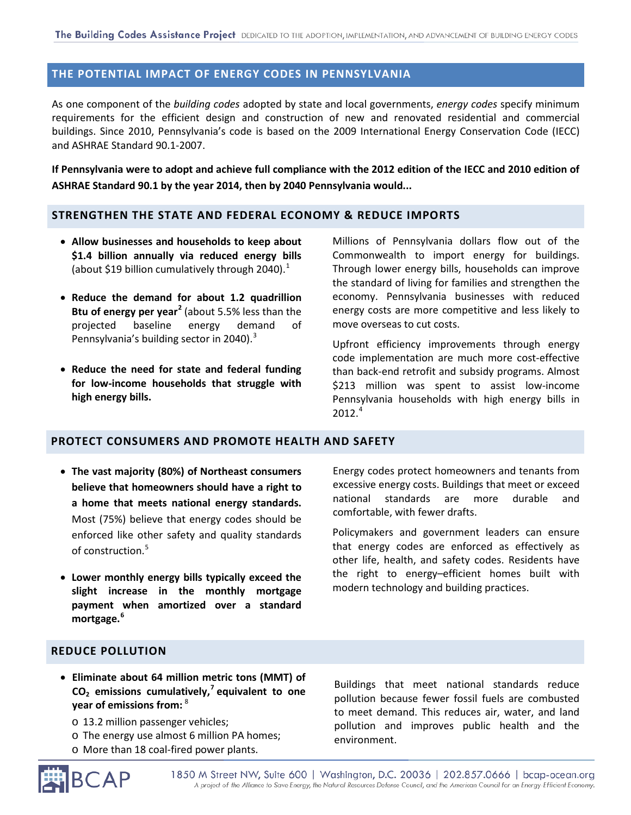# **THE POTENTIAL IMPACT OF ENERGY CODES IN PENNSYLVANIA**

As one component of the *building codes* adopted by state and local governments, *energy codes* specify minimum requirements for the efficient design and construction of new and renovated residential and commercial buildings. Since 2010, Pennsylvania's code is based on the 2009 International Energy Conservation Code (IECC) and ASHRAE Standard 90.1-2007.

**If Pennsylvania were to adopt and achieve full compliance with the 2012 edition of the IECC and 2010 edition of ASHRAE Standard 90.1 by the year 2014, then by 2040 Pennsylvania would...**

### **STRENGTHEN THE STATE AND FEDERAL ECONOMY & REDUCE IMPORTS**

- **Allow businesses and households to keep about \$1.4 billion annually via reduced energy bills**  (about \$[1](#page-4-0)9 billion cumulatively through 2040).<sup>1</sup>
- **Reduce the demand for about 1.2 quadrillion Btu of energy per year[2](#page-4-1)** (about 5.5% less than the projected baseline energy demand of Pennsylvania's building sector in 2040).<sup>[3](#page-4-2)</sup>
- **Reduce the need for state and federal funding for low-income households that struggle with high energy bills.**

Millions of Pennsylvania dollars flow out of the Commonwealth to import energy for buildings. Through lower energy bills, households can improve the standard of living for families and strengthen the economy. Pennsylvania businesses with reduced energy costs are more competitive and less likely to move overseas to cut costs.

Upfront efficiency improvements through energy code implementation are much more cost-effective than back-end retrofit and subsidy programs. Almost \$213 million was spent to assist low-income Pennsylvania households with high energy bills in 2012.[4](#page-4-3)

#### **PROTECT CONSUMERS AND PROMOTE HEALTH AND SAFETY**

- **The vast majority (80%) of Northeast consumers believe that homeowners should have a right to a home that meets national energy standards.**  Most (75%) believe that energy codes should be enforced like other safety and quality standards of construction. [5](#page-4-4)
- **Lower monthly energy bills typically exceed the slight increase in the monthly mortgage payment when amortized over a standard mortgage. [6](#page-4-5)**

Energy codes protect homeowners and tenants from excessive energy costs. Buildings that meet or exceed national standards are more durable and comfortable, with fewer drafts.

Policymakers and government leaders can ensure that energy codes are enforced as effectively as other life, health, and safety codes. Residents have the right to energy–efficient homes built with modern technology and building practices.

# **REDUCE POLLUTION**

- **Eliminate about 64 million metric tons (MMT) of CO2 emissions cumulatively, [7](#page-4-6) equivalent to one year of emissions from:** [8](#page-4-7)
	- o 13.2 million passenger vehicles;
	- o The energy use almost 6 million PA homes;
	- o More than 18 coal-fired power plants.

Buildings that meet national standards reduce pollution because fewer fossil fuels are combusted to meet demand. This reduces air, water, and land pollution and improves public health and the environment.



1850 M Street NW, Suite 600 | Washington, D.C. 20036 | 202.857.0666 | bcap-ocean.org A project of the Alliance to Save Energy, the Natural Resources Defense Council, and the American Council for an Energy-Efficient Economy.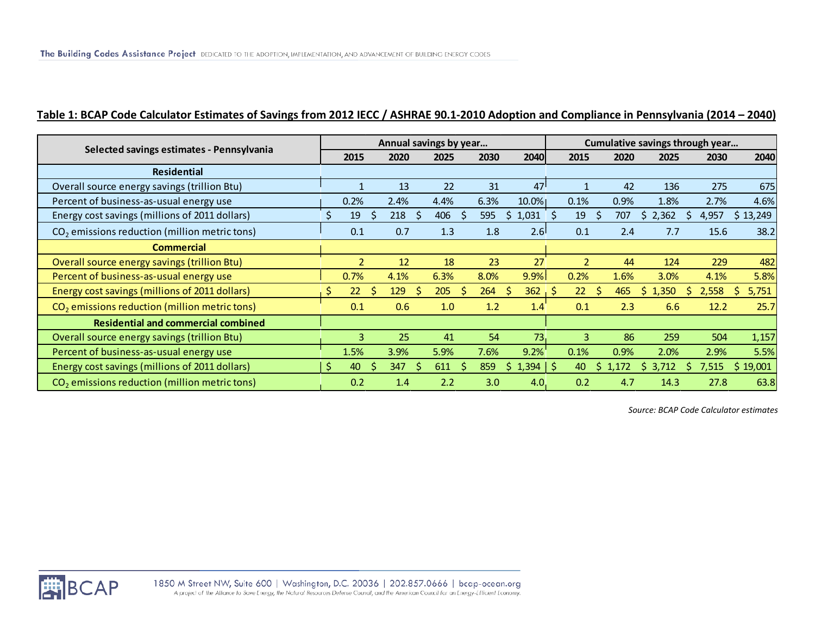# **Table 1: BCAP Code Calculator Estimates of Savings from 2012 IECC / ASHRAE 90.1-2010 Adoption and Compliance in Pennsylvania (2014 – 2040)**

| Selected savings estimates - Pennsylvania                 | Annual savings by year |                |   |                     |      |             |      |                              | Cumulative savings through year |     |       |            |  |       |            |
|-----------------------------------------------------------|------------------------|----------------|---|---------------------|------|-------------|------|------------------------------|---------------------------------|-----|-------|------------|--|-------|------------|
|                                                           |                        | 2015           |   | 2020                | 2025 |             | 2030 | 2040                         | 2015                            |     | 2020  | 2025       |  | 2030  | 2040       |
| <b>Residential</b>                                        |                        |                |   |                     |      |             |      |                              |                                 |     |       |            |  |       |            |
| Overall source energy savings (trillion Btu)              |                        |                |   | 13                  | 22   |             | 31   | 47                           |                                 |     | 42    | 136        |  | 275   | 675        |
| Percent of business-as-usual energy use                   |                        | 0.2%           |   | 2.4%                | 4.4% |             | 6.3% | $10.0\%$                     | 0.1%                            |     | 0.9%  | 1.8%       |  | 2.7%  | 4.6%       |
| Energy cost savings (millions of 2011 dollars)            |                        | 19             |   | 218<br><sup>S</sup> | 406  |             | 595  | 1,031<br>S                   | 19                              | -S  | 707   | 2,362<br>Ь |  | 4,957 | \$13,249   |
| CO <sub>2</sub> emissions reduction (million metric tons) |                        | 0.1            |   | 0.7                 | 1.3  |             | 1.8  | 2.6                          | 0.1                             |     | 2.4   | 7.7        |  | 15.6  | 38.2       |
| <b>Commercial</b>                                         |                        |                |   |                     |      |             |      |                              |                                 |     |       |            |  |       |            |
| Overall source energy savings (trillion Btu)              |                        | $\overline{2}$ |   | 12                  | 18   |             | 23   | 27                           | $\overline{2}$                  |     | 44    | 124        |  | 229   | 482        |
| Percent of business-as-usual energy use                   |                        | 0.7%           |   | 4.1%                | 6.3% |             | 8.0% | 9.9%                         | 0.2%                            |     | 1.6%  | 3.0%       |  | 4.1%  | 5.8%       |
| Energy cost savings (millions of 2011 dollars)            |                        | 22             | S | 129<br>-S           | 205  | S           | 264  | 362<br>-S                    | 22                              | - S | 465   | 1,350<br>S |  | 2,558 | 5,751<br>S |
| CO <sub>2</sub> emissions reduction (million metric tons) |                        | 0.1            |   | 0.6                 | 1.0  |             | 1.2  | 1.4                          | 0.1                             |     | 2.3   | 6.6        |  | 12.2  | 25.7       |
| <b>Residential and commercial combined</b>                |                        |                |   |                     |      |             |      |                              |                                 |     |       |            |  |       |            |
| Overall source energy savings (trillion Btu)              |                        | 3              |   | 25                  | 41   |             | 54   | 73                           | 3                               |     | 86    | 259        |  | 504   | 1,157      |
| Percent of business-as-usual energy use                   |                        | 1.5%           |   | 3.9%                | 5.9% |             | 7.6% | 9.2%                         | 0.1%                            |     | 0.9%  | 2.0%       |  | 2.9%  | 5.5%       |
| Energy cost savings (millions of 2011 dollars)            | <sub>S</sub>           | 40             |   | 347<br>$\varsigma$  | 611  | $\varsigma$ | 859  | $1,394$   \$<br><sub>S</sub> | 40                              | S   | 1.172 | 3,712<br>S |  | 7,515 | \$19,001   |
| CO <sub>2</sub> emissions reduction (million metric tons) |                        | 0.2            |   | 1.4                 | 2.2  |             | 3.0  | 4.0                          | 0.2                             |     | 4.7   | 14.3       |  | 27.8  | 63.8       |

*Source: BCAP Code Calculator estimates*

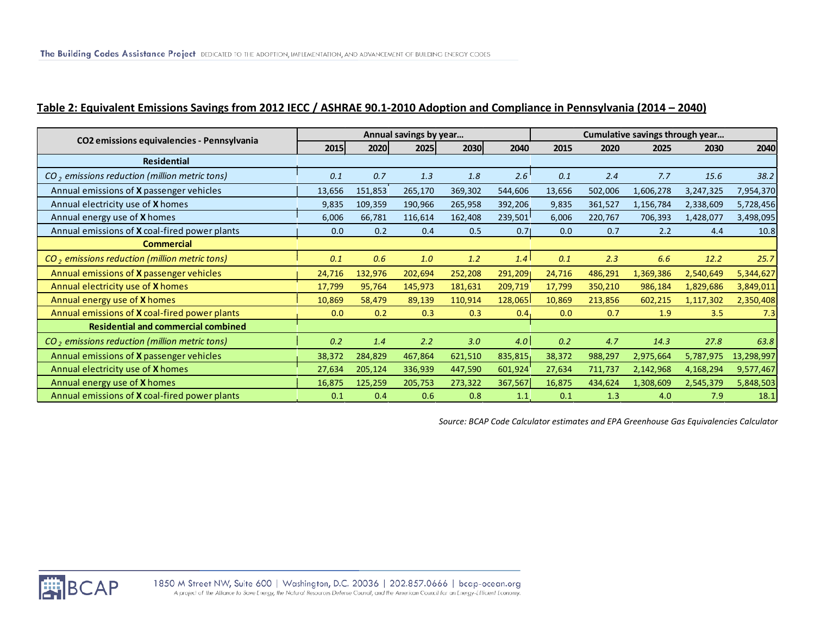# **Table 2: Equivalent Emissions Savings from 2012 IECC / ASHRAE 90.1-2010 Adoption and Compliance in Pennsylvania (2014 – 2040)**

| CO2 emissions equivalencies - Pennsylvania           |        |         | Annual savings by year |         |                  | Cumulative savings through year |         |           |           |            |  |  |
|------------------------------------------------------|--------|---------|------------------------|---------|------------------|---------------------------------|---------|-----------|-----------|------------|--|--|
|                                                      | 2015   | 2020    | 2025                   | 2030    | 2040             | 2015                            | 2020    | 2025      | 2030      | 2040       |  |  |
| <b>Residential</b>                                   |        |         |                        |         |                  |                                 |         |           |           |            |  |  |
| $CO2$ emissions reduction (million metric tons)      | 0.1    | 0.7     | 1.3                    | 1.8     | 2.6              | 0.1                             | 2.4     | 7.7       | 15.6      | 38.2       |  |  |
| Annual emissions of <b>X</b> passenger vehicles      | 13,656 | 151,853 | 265,170                | 369,302 | 544,606          | 13,656                          | 502,006 | 1,606,278 | 3,247,325 | 7,954,370  |  |  |
| Annual electricity use of X homes                    | 9,835  | 109,359 | 190,966                | 265,958 | 392,206          | 9,835                           | 361,527 | 1,156,784 | 2,338,609 | 5,728,456  |  |  |
| Annual energy use of X homes                         | 6,006  | 66,781  | 116,614                | 162,408 | 239,501          | 6,006                           | 220,767 | 706,393   | 1,428,077 | 3,498,095  |  |  |
| Annual emissions of X coal-fired power plants        | 0.0    | 0.2     | 0.4                    | 0.5     | 0.71             | 0.0                             | 0.7     | 2.2       | 4.4       | 10.8       |  |  |
| <b>Commercial</b>                                    |        |         |                        |         |                  |                                 |         |           |           |            |  |  |
| $CO2$ emissions reduction (million metric tons)      | 0.1    | 0.6     | 1.0                    | 1.2     | 1.4              | 0.1                             | 2.3     | 6.6       | 12.2      | 25.7       |  |  |
| Annual emissions of X passenger vehicles             | 24,716 | 132,976 | 202,694                | 252,208 | 291,2091         | 24,716                          | 486,291 | 1,369,386 | 2,540,649 | 5,344,627  |  |  |
| Annual electricity use of X homes                    | 17,799 | 95,764  | 145,973                | 181,631 | 209,719          | 17,799                          | 350,210 | 986,184   | 1,829,686 | 3,849,011  |  |  |
| Annual energy use of X homes                         | 10,869 | 58,479  | 89,139                 | 110,914 | 128,065          | 10,869                          | 213,856 | 602,215   | 1,117,302 | 2,350,408  |  |  |
| Annual emissions of <b>X</b> coal-fired power plants | 0.0    | 0.2     | 0.3                    | 0.3     | 0.4 <sub>1</sub> | 0.0                             | 0.7     | 1.9       | 3.5       | 7.3        |  |  |
| <b>Residential and commercial combined</b>           |        |         |                        |         |                  |                                 |         |           |           |            |  |  |
| $CO2$ emissions reduction (million metric tons)      | 0.2    | 1.4     | 2.2                    | 3.0     | 4.0              | 0.2                             | 4.7     | 14.3      | 27.8      | 63.8       |  |  |
| Annual emissions of <b>X</b> passenger vehicles      | 38,372 | 284,829 | 467,864                | 621,510 | 835,815          | 38,372                          | 988,297 | 2,975,664 | 5,787,975 | 13,298,997 |  |  |
| Annual electricity use of X homes                    | 27,634 | 205,124 | 336,939                | 447,590 | 601,924          | 27,634                          | 711,737 | 2,142,968 | 4,168,294 | 9,577,467  |  |  |
| Annual energy use of X homes                         | 16,875 | 125,259 | 205,753                | 273,322 | 367,567          | 16,875                          | 434,624 | 1,308,609 | 2,545,379 | 5,848,503  |  |  |
| Annual emissions of X coal-fired power plants        | 0.1    | 0.4     | 0.6                    | 0.8     | 1.1              | 0.1                             | 1.3     | 4.0       | 7.9       | 18.1       |  |  |

*Source: BCAP Code Calculator estimates and EPA Greenhouse Gas Equivalencies Calculator* 

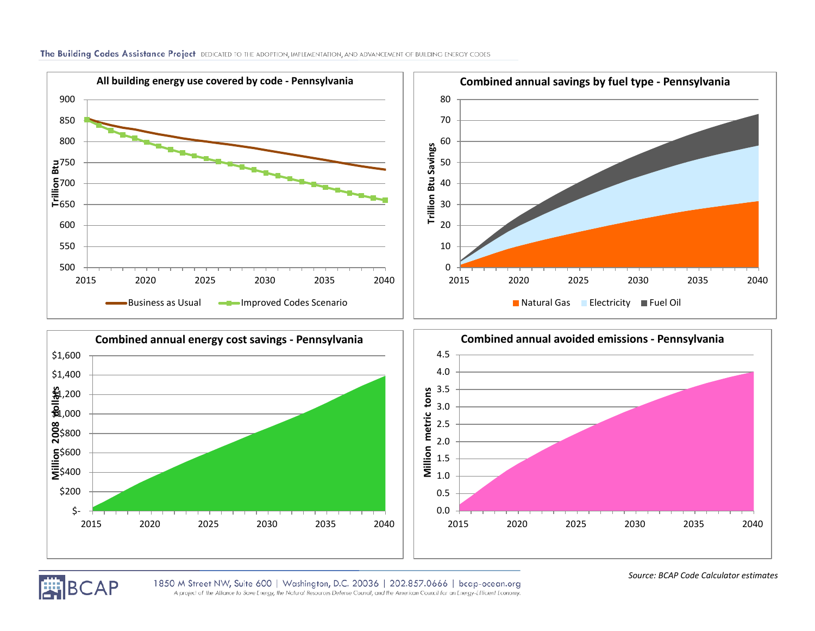

The Building Codes Assistance Project DEDICATED TO THE ADOPTION, IMPLEMENTATION, AND ADVANCEMENT OF BUILDING ENERGY CODES



*Source: BCAP Code Calculator estimates*